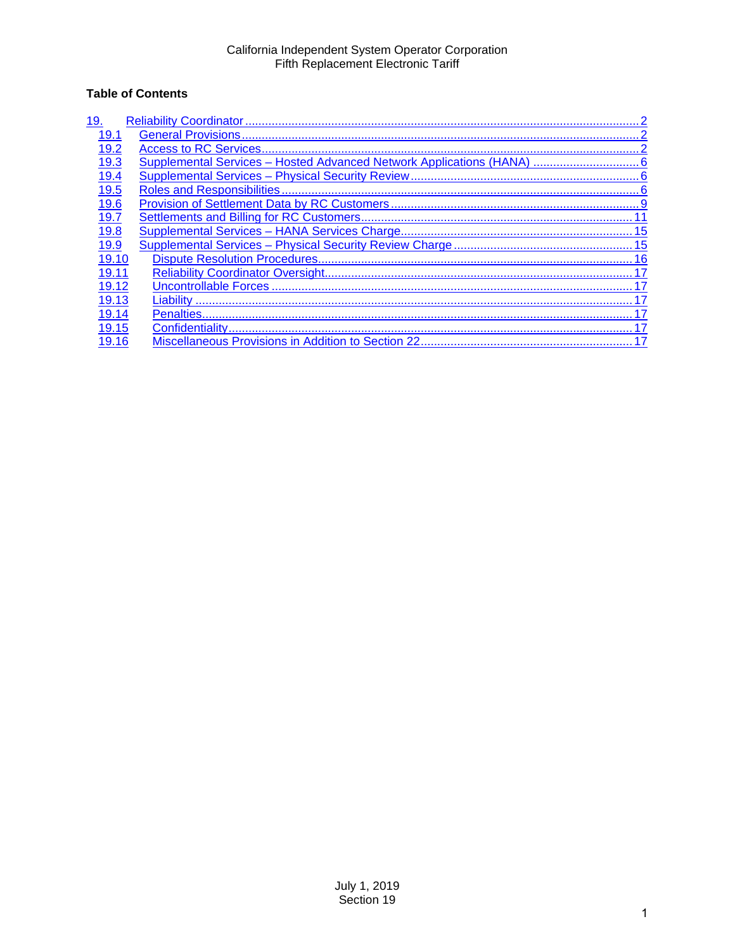## **Table of Contents**

| 19.   |  |
|-------|--|
| 19.1  |  |
| 19.2  |  |
| 19.3  |  |
| 19.4  |  |
| 19.5  |  |
| 19.6  |  |
| 19.7  |  |
| 19.8  |  |
| 19.9  |  |
| 19.10 |  |
| 19.11 |  |
| 19.12 |  |
| 19.13 |  |
| 19.14 |  |
| 19.15 |  |
| 19.16 |  |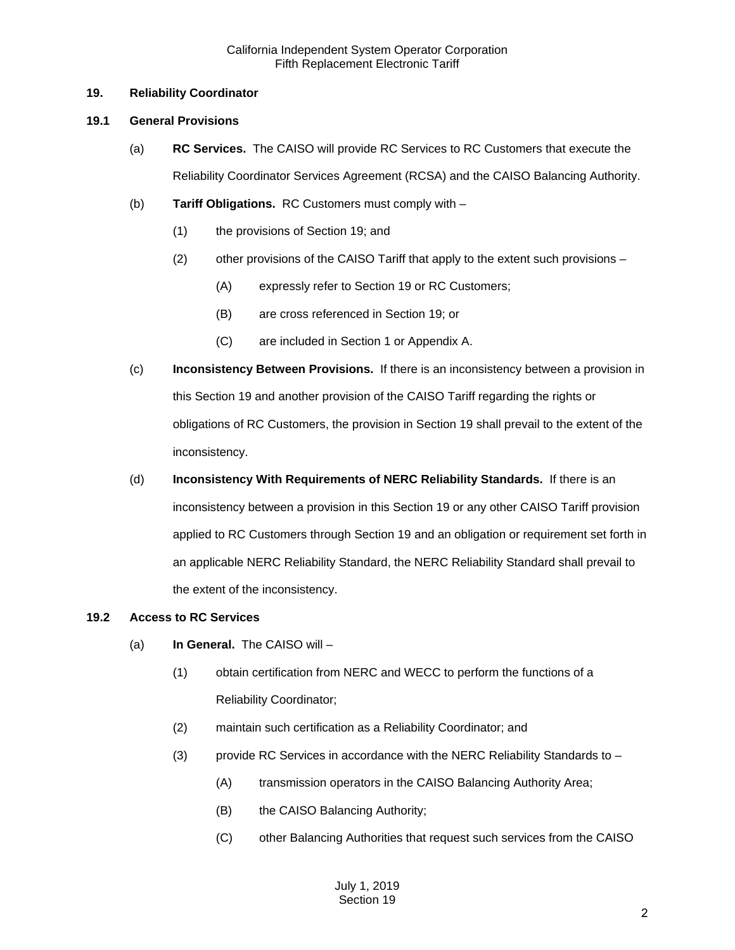## <span id="page-1-0"></span>**19. Reliability Coordinator**

## <span id="page-1-1"></span>**19.1 General Provisions**

- (a) **RC Services.** The CAISO will provide RC Services to RC Customers that execute the Reliability Coordinator Services Agreement (RCSA) and the CAISO Balancing Authority.
- (b) **Tariff Obligations.** RC Customers must comply with
	- (1) the provisions of Section 19; and
	- (2) other provisions of the CAISO Tariff that apply to the extent such provisions
		- (A) expressly refer to Section 19 or RC Customers;
		- (B) are cross referenced in Section 19; or
		- (C) are included in Section 1 or Appendix A.
- (c) **Inconsistency Between Provisions.** If there is an inconsistency between a provision in this Section 19 and another provision of the CAISO Tariff regarding the rights or obligations of RC Customers, the provision in Section 19 shall prevail to the extent of the inconsistency.
- (d) **Inconsistency With Requirements of NERC Reliability Standards.** If there is an inconsistency between a provision in this Section 19 or any other CAISO Tariff provision applied to RC Customers through Section 19 and an obligation or requirement set forth in an applicable NERC Reliability Standard, the NERC Reliability Standard shall prevail to the extent of the inconsistency.

## <span id="page-1-2"></span>**19.2 Access to RC Services**

- (a) **In General.** The CAISO will
	- (1) obtain certification from NERC and WECC to perform the functions of a Reliability Coordinator;
	- (2) maintain such certification as a Reliability Coordinator; and
	- (3) provide RC Services in accordance with the NERC Reliability Standards to
		- (A) transmission operators in the CAISO Balancing Authority Area;
		- (B) the CAISO Balancing Authority;
		- (C) other Balancing Authorities that request such services from the CAISO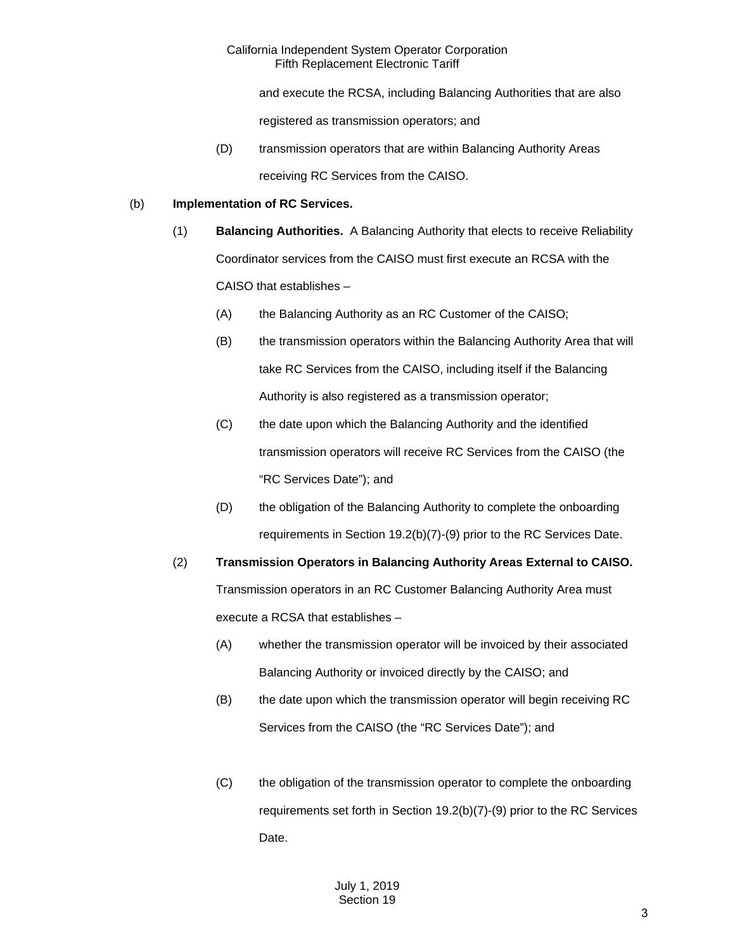and execute the RCSA, including Balancing Authorities that are also

registered as transmission operators; and

(D) transmission operators that are within Balancing Authority Areas receiving RC Services from the CAISO.

#### (b) **Implementation of RC Services.**

- (1) **Balancing Authorities.** A Balancing Authority that elects to receive Reliability Coordinator services from the CAISO must first execute an RCSA with the CAISO that establishes –
	- (A) the Balancing Authority as an RC Customer of the CAISO;
	- (B) the transmission operators within the Balancing Authority Area that will take RC Services from the CAISO, including itself if the Balancing Authority is also registered as a transmission operator;
	- (C) the date upon which the Balancing Authority and the identified transmission operators will receive RC Services from the CAISO (the "RC Services Date"); and
	- (D) the obligation of the Balancing Authority to complete the onboarding requirements in Section 19.2(b)(7)-(9) prior to the RC Services Date.

(2) **Transmission Operators in Balancing Authority Areas External to CAISO.**  Transmission operators in an RC Customer Balancing Authority Area must execute a RCSA that establishes –

- (A) whether the transmission operator will be invoiced by their associated Balancing Authority or invoiced directly by the CAISO; and
- (B) the date upon which the transmission operator will begin receiving RC Services from the CAISO (the "RC Services Date"); and
- (C) the obligation of the transmission operator to complete the onboarding requirements set forth in Section 19.2(b)(7)-(9) prior to the RC Services Date.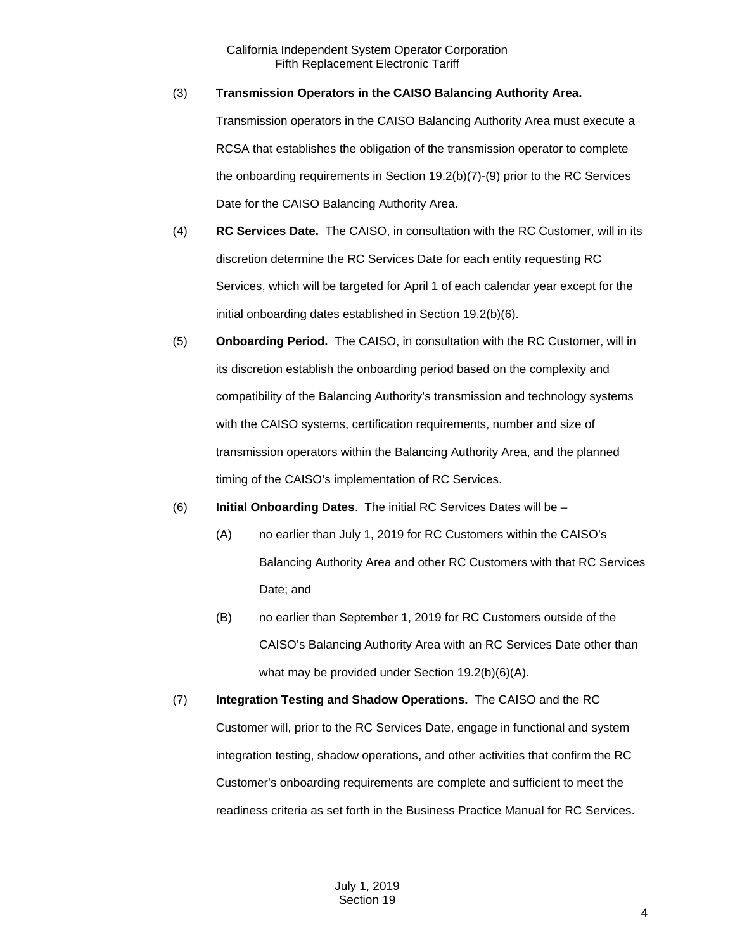#### (3) **Transmission Operators in the CAISO Balancing Authority Area.**

Transmission operators in the CAISO Balancing Authority Area must execute a RCSA that establishes the obligation of the transmission operator to complete the onboarding requirements in Section 19.2(b)(7)-(9) prior to the RC Services Date for the CAISO Balancing Authority Area.

- (4) **RC Services Date.** The CAISO, in consultation with the RC Customer, will in its discretion determine the RC Services Date for each entity requesting RC Services, which will be targeted for April 1 of each calendar year except for the initial onboarding dates established in Section 19.2(b)(6).
- (5) **Onboarding Period.** The CAISO, in consultation with the RC Customer, will in its discretion establish the onboarding period based on the complexity and compatibility of the Balancing Authority's transmission and technology systems with the CAISO systems, certification requirements, number and size of transmission operators within the Balancing Authority Area, and the planned timing of the CAISO's implementation of RC Services.

## (6) **Initial Onboarding Dates**. The initial RC Services Dates will be –

- (A) no earlier than July 1, 2019 for RC Customers within the CAISO's Balancing Authority Area and other RC Customers with that RC Services Date; and
- (B) no earlier than September 1, 2019 for RC Customers outside of the CAISO's Balancing Authority Area with an RC Services Date other than what may be provided under Section 19.2(b)(6)(A).
- (7) **Integration Testing and Shadow Operations.** The CAISO and the RC Customer will, prior to the RC Services Date, engage in functional and system integration testing, shadow operations, and other activities that confirm the RC Customer's onboarding requirements are complete and sufficient to meet the readiness criteria as set forth in the Business Practice Manual for RC Services.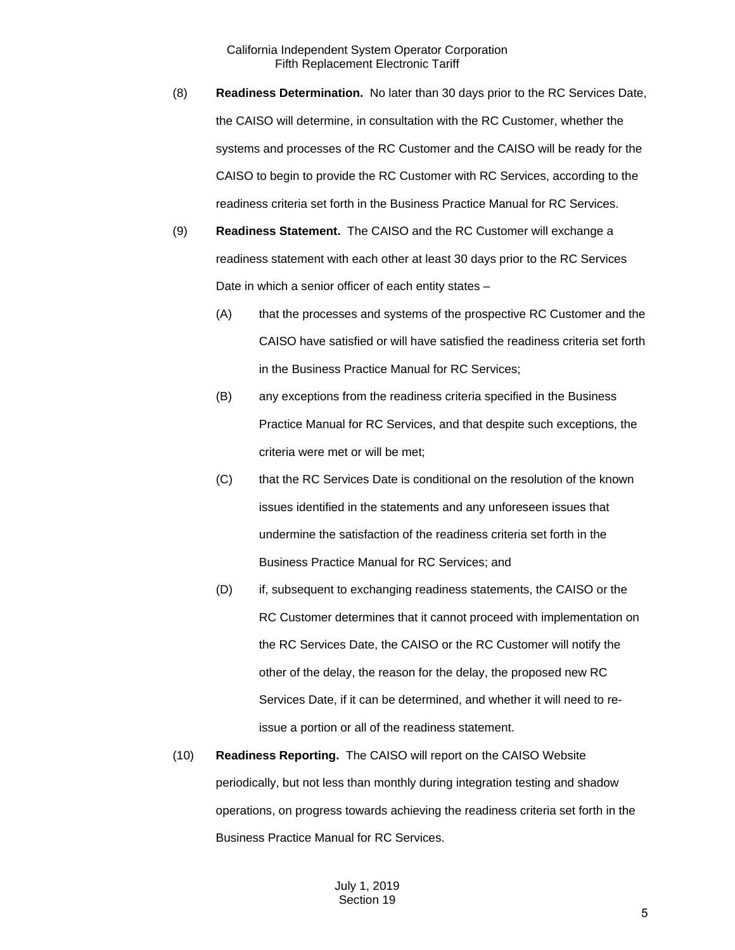- (8) **Readiness Determination.** No later than 30 days prior to the RC Services Date, the CAISO will determine, in consultation with the RC Customer, whether the systems and processes of the RC Customer and the CAISO will be ready for the CAISO to begin to provide the RC Customer with RC Services, according to the readiness criteria set forth in the Business Practice Manual for RC Services.
- (9) **Readiness Statement.** The CAISO and the RC Customer will exchange a readiness statement with each other at least 30 days prior to the RC Services Date in which a senior officer of each entity states –
	- (A) that the processes and systems of the prospective RC Customer and the CAISO have satisfied or will have satisfied the readiness criteria set forth in the Business Practice Manual for RC Services;
	- (B) any exceptions from the readiness criteria specified in the Business Practice Manual for RC Services, and that despite such exceptions, the criteria were met or will be met;
	- (C) that the RC Services Date is conditional on the resolution of the known issues identified in the statements and any unforeseen issues that undermine the satisfaction of the readiness criteria set forth in the Business Practice Manual for RC Services; and
	- (D) if, subsequent to exchanging readiness statements, the CAISO or the RC Customer determines that it cannot proceed with implementation on the RC Services Date, the CAISO or the RC Customer will notify the other of the delay, the reason for the delay, the proposed new RC Services Date, if it can be determined, and whether it will need to reissue a portion or all of the readiness statement.
- (10) **Readiness Reporting.** The CAISO will report on the CAISO Website periodically, but not less than monthly during integration testing and shadow operations, on progress towards achieving the readiness criteria set forth in the Business Practice Manual for RC Services.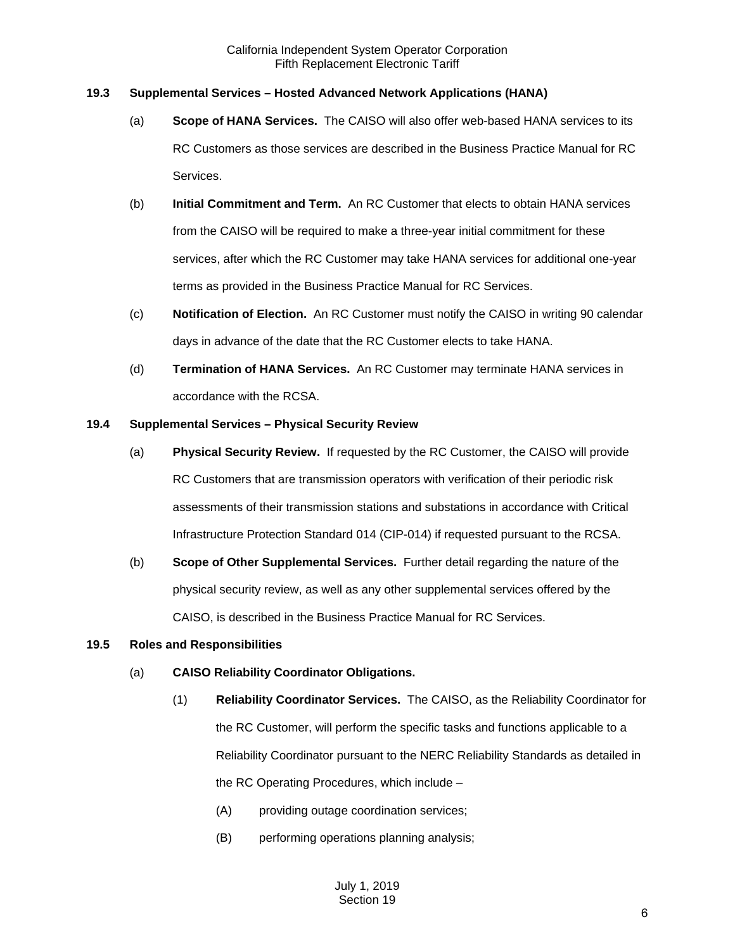## <span id="page-5-0"></span>**19.3 Supplemental Services – Hosted Advanced Network Applications (HANA)**

- (a) **Scope of HANA Services.** The CAISO will also offer web-based HANA services to its RC Customers as those services are described in the Business Practice Manual for RC Services.
- (b) **Initial Commitment and Term.** An RC Customer that elects to obtain HANA services from the CAISO will be required to make a three-year initial commitment for these services, after which the RC Customer may take HANA services for additional one-year terms as provided in the Business Practice Manual for RC Services.
- (c) **Notification of Election.** An RC Customer must notify the CAISO in writing 90 calendar days in advance of the date that the RC Customer elects to take HANA.
- (d) **Termination of HANA Services.** An RC Customer may terminate HANA services in accordance with the RCSA.

#### <span id="page-5-1"></span>**19.4 Supplemental Services – Physical Security Review**

- (a) **Physical Security Review.** If requested by the RC Customer, the CAISO will provide RC Customers that are transmission operators with verification of their periodic risk assessments of their transmission stations and substations in accordance with Critical Infrastructure Protection Standard 014 (CIP-014) if requested pursuant to the RCSA.
- (b) **Scope of Other Supplemental Services.** Further detail regarding the nature of the physical security review, as well as any other supplemental services offered by the CAISO, is described in the Business Practice Manual for RC Services.

#### <span id="page-5-2"></span>**19.5 Roles and Responsibilities**

- (a) **CAISO Reliability Coordinator Obligations.**
	- (1) **Reliability Coordinator Services.** The CAISO, as the Reliability Coordinator for the RC Customer, will perform the specific tasks and functions applicable to a Reliability Coordinator pursuant to the NERC Reliability Standards as detailed in the RC Operating Procedures, which include –
		- (A) providing outage coordination services;
		- (B) performing operations planning analysis;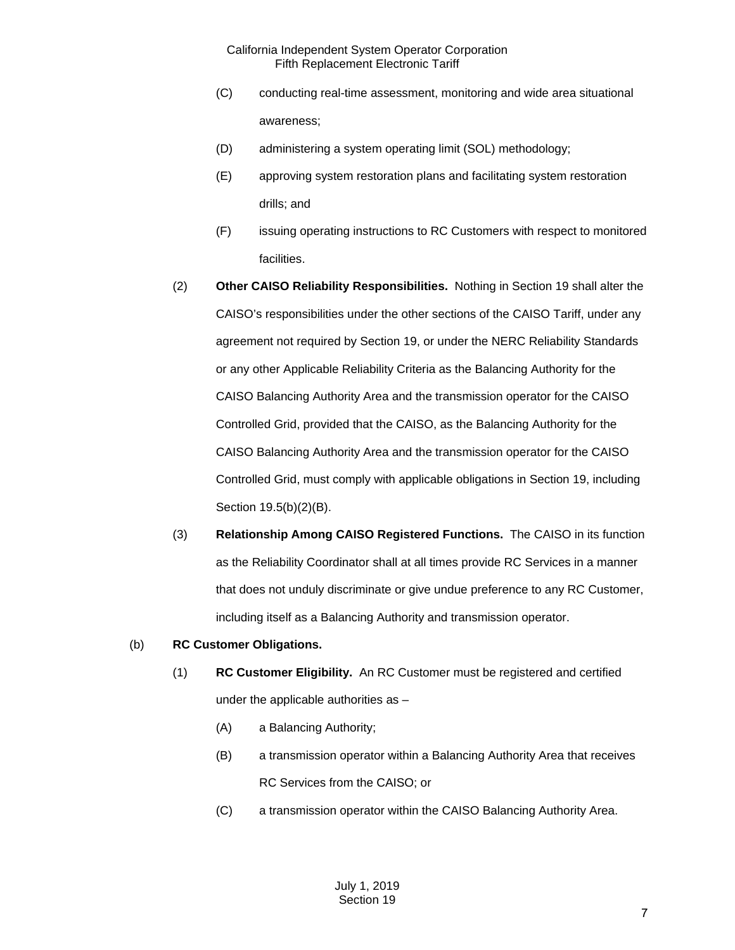- (C) conducting real-time assessment, monitoring and wide area situational awareness;
- (D) administering a system operating limit (SOL) methodology;
- (E) approving system restoration plans and facilitating system restoration drills; and
- (F) issuing operating instructions to RC Customers with respect to monitored facilities.
- (2) **Other CAISO Reliability Responsibilities.** Nothing in Section 19 shall alter the CAISO's responsibilities under the other sections of the CAISO Tariff, under any agreement not required by Section 19, or under the NERC Reliability Standards or any other Applicable Reliability Criteria as the Balancing Authority for the CAISO Balancing Authority Area and the transmission operator for the CAISO Controlled Grid, provided that the CAISO, as the Balancing Authority for the CAISO Balancing Authority Area and the transmission operator for the CAISO Controlled Grid, must comply with applicable obligations in Section 19, including Section 19.5(b)(2)(B).
- (3) **Relationship Among CAISO Registered Functions.** The CAISO in its function as the Reliability Coordinator shall at all times provide RC Services in a manner that does not unduly discriminate or give undue preference to any RC Customer, including itself as a Balancing Authority and transmission operator.

#### (b) **RC Customer Obligations.**

- (1) **RC Customer Eligibility.** An RC Customer must be registered and certified under the applicable authorities as –
	- (A) a Balancing Authority;
	- (B) a transmission operator within a Balancing Authority Area that receives RC Services from the CAISO; or
	- (C) a transmission operator within the CAISO Balancing Authority Area.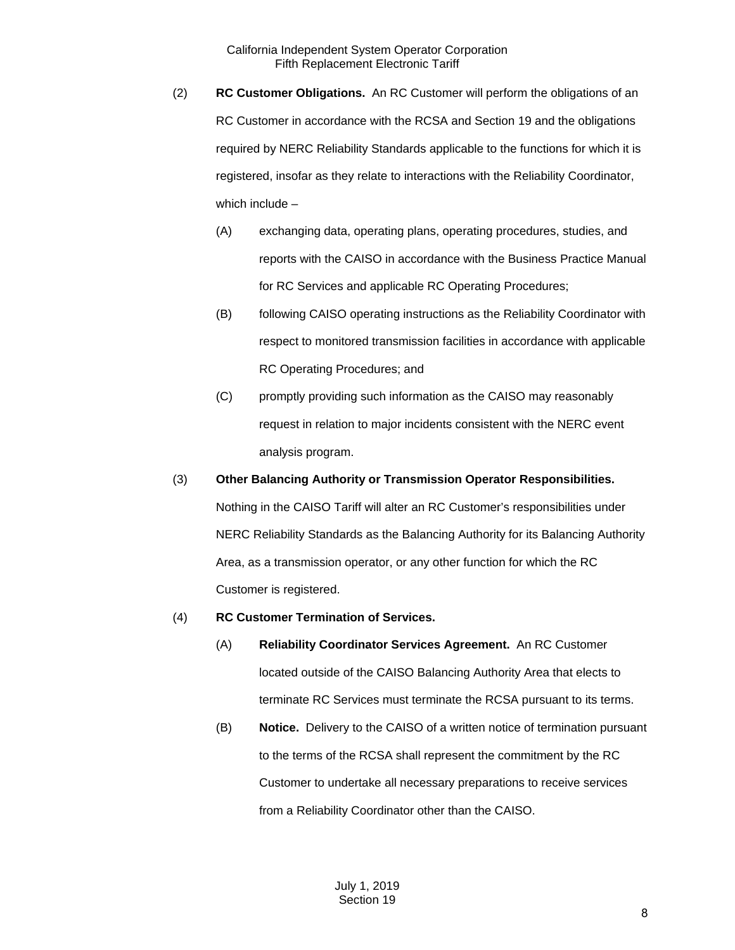- (2) **RC Customer Obligations.** An RC Customer will perform the obligations of an RC Customer in accordance with the RCSA and Section 19 and the obligations required by NERC Reliability Standards applicable to the functions for which it is registered, insofar as they relate to interactions with the Reliability Coordinator, which include –
	- (A) exchanging data, operating plans, operating procedures, studies, and reports with the CAISO in accordance with the Business Practice Manual for RC Services and applicable RC Operating Procedures;
	- (B) following CAISO operating instructions as the Reliability Coordinator with respect to monitored transmission facilities in accordance with applicable RC Operating Procedures; and
	- (C) promptly providing such information as the CAISO may reasonably request in relation to major incidents consistent with the NERC event analysis program.
- (3) **Other Balancing Authority or Transmission Operator Responsibilities.** Nothing in the CAISO Tariff will alter an RC Customer's responsibilities under NERC Reliability Standards as the Balancing Authority for its Balancing Authority Area, as a transmission operator, or any other function for which the RC Customer is registered.
- (4) **RC Customer Termination of Services.**
	- (A) **Reliability Coordinator Services Agreement.** An RC Customer located outside of the CAISO Balancing Authority Area that elects to terminate RC Services must terminate the RCSA pursuant to its terms.
	- (B) **Notice.** Delivery to the CAISO of a written notice of termination pursuant to the terms of the RCSA shall represent the commitment by the RC Customer to undertake all necessary preparations to receive services from a Reliability Coordinator other than the CAISO.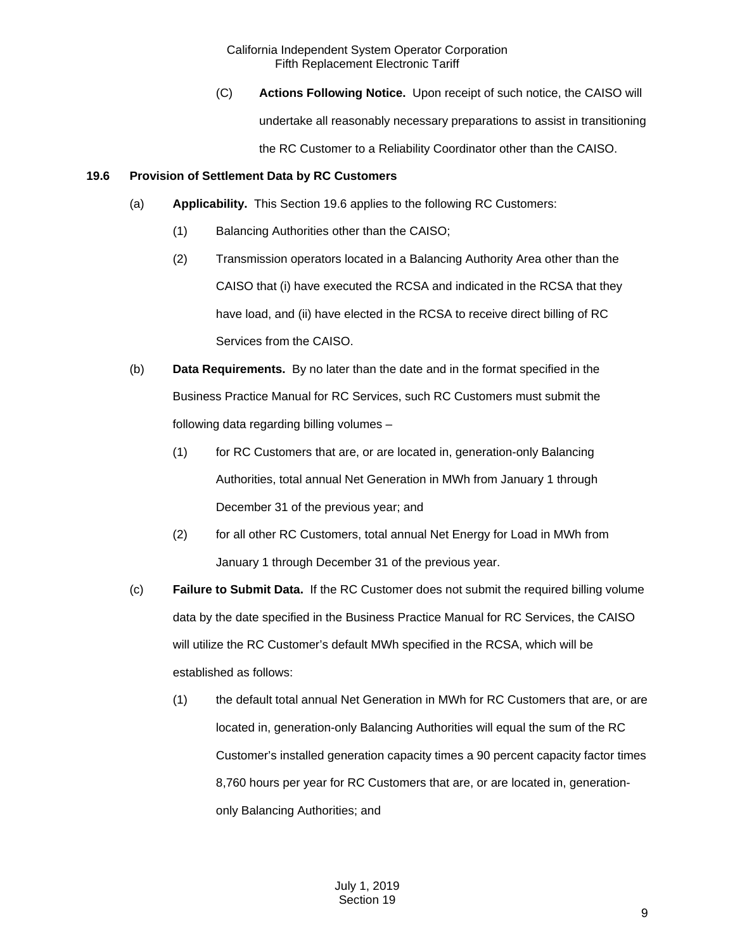(C) **Actions Following Notice.** Upon receipt of such notice, the CAISO will undertake all reasonably necessary preparations to assist in transitioning the RC Customer to a Reliability Coordinator other than the CAISO.

## <span id="page-8-0"></span>**19.6 Provision of Settlement Data by RC Customers**

- (a) **Applicability.** This Section 19.6 applies to the following RC Customers:
	- (1) Balancing Authorities other than the CAISO;
	- (2) Transmission operators located in a Balancing Authority Area other than the CAISO that (i) have executed the RCSA and indicated in the RCSA that they have load, and (ii) have elected in the RCSA to receive direct billing of RC Services from the CAISO.
- (b) **Data Requirements.** By no later than the date and in the format specified in the Business Practice Manual for RC Services, such RC Customers must submit the following data regarding billing volumes –
	- (1) for RC Customers that are, or are located in, generation-only Balancing Authorities, total annual Net Generation in MWh from January 1 through December 31 of the previous year; and
	- (2) for all other RC Customers, total annual Net Energy for Load in MWh from January 1 through December 31 of the previous year.
- (c) **Failure to Submit Data.** If the RC Customer does not submit the required billing volume data by the date specified in the Business Practice Manual for RC Services, the CAISO will utilize the RC Customer's default MWh specified in the RCSA, which will be established as follows:
	- (1) the default total annual Net Generation in MWh for RC Customers that are, or are located in, generation-only Balancing Authorities will equal the sum of the RC Customer's installed generation capacity times a 90 percent capacity factor times 8,760 hours per year for RC Customers that are, or are located in, generationonly Balancing Authorities; and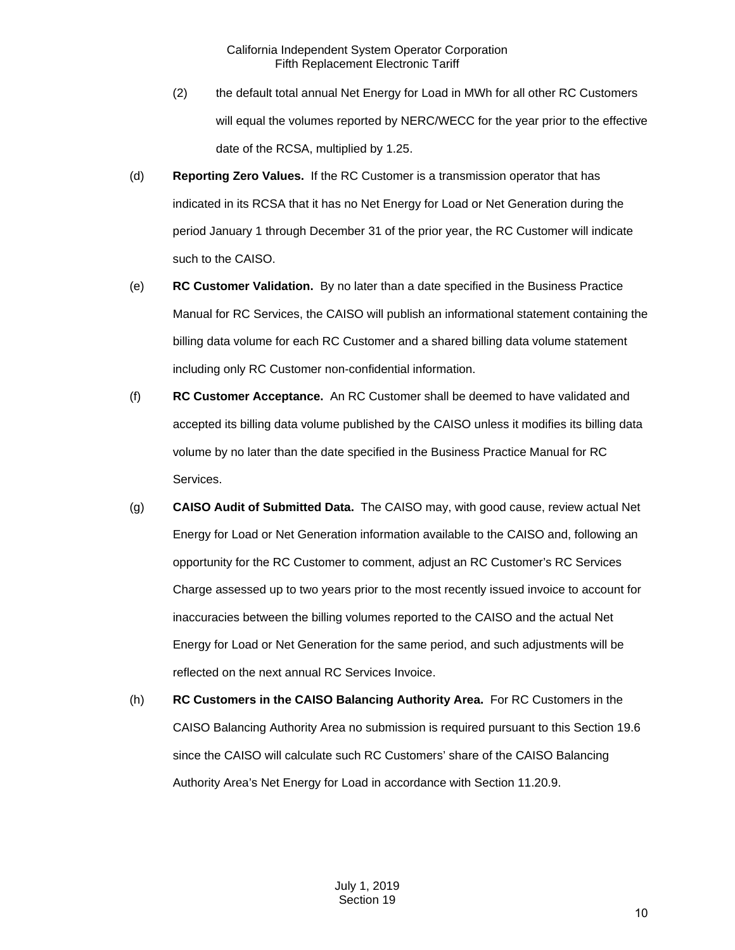- (2) the default total annual Net Energy for Load in MWh for all other RC Customers will equal the volumes reported by NERC/WECC for the year prior to the effective date of the RCSA, multiplied by 1.25.
- (d) **Reporting Zero Values.** If the RC Customer is a transmission operator that has indicated in its RCSA that it has no Net Energy for Load or Net Generation during the period January 1 through December 31 of the prior year, the RC Customer will indicate such to the CAISO.
- (e) **RC Customer Validation.** By no later than a date specified in the Business Practice Manual for RC Services, the CAISO will publish an informational statement containing the billing data volume for each RC Customer and a shared billing data volume statement including only RC Customer non-confidential information.
- (f) **RC Customer Acceptance.** An RC Customer shall be deemed to have validated and accepted its billing data volume published by the CAISO unless it modifies its billing data volume by no later than the date specified in the Business Practice Manual for RC Services.
- (g) **CAISO Audit of Submitted Data.** The CAISO may, with good cause, review actual Net Energy for Load or Net Generation information available to the CAISO and, following an opportunity for the RC Customer to comment, adjust an RC Customer's RC Services Charge assessed up to two years prior to the most recently issued invoice to account for inaccuracies between the billing volumes reported to the CAISO and the actual Net Energy for Load or Net Generation for the same period, and such adjustments will be reflected on the next annual RC Services Invoice.
- (h) **RC Customers in the CAISO Balancing Authority Area.** For RC Customers in the CAISO Balancing Authority Area no submission is required pursuant to this Section 19.6 since the CAISO will calculate such RC Customers' share of the CAISO Balancing Authority Area's Net Energy for Load in accordance with Section 11.20.9.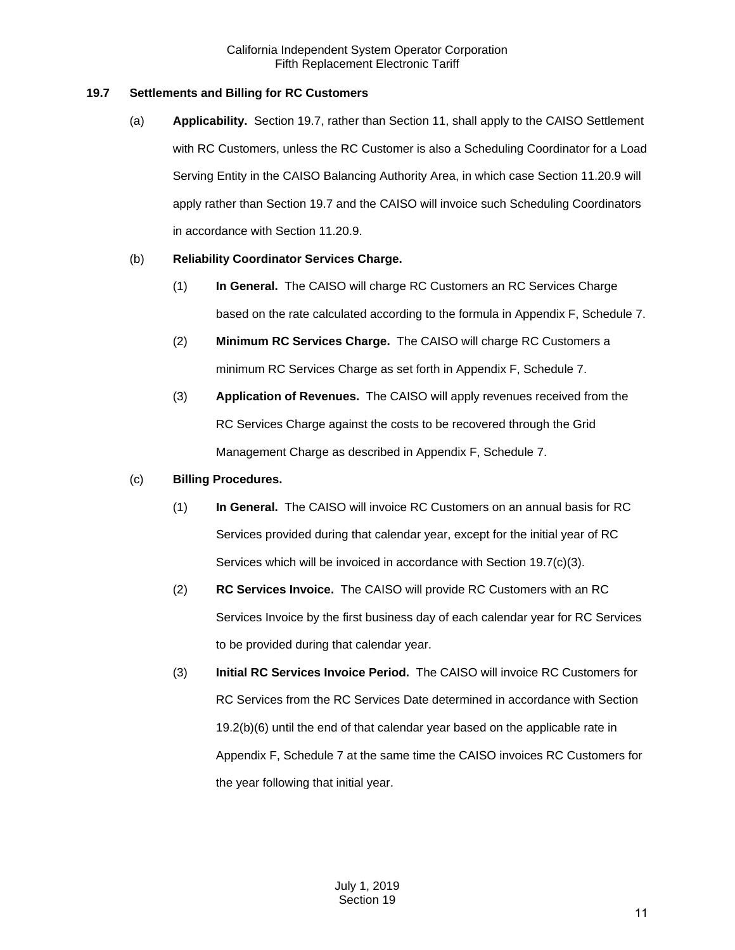## <span id="page-10-0"></span>**19.7 Settlements and Billing for RC Customers**

(a) **Applicability.** Section 19.7, rather than Section 11, shall apply to the CAISO Settlement with RC Customers, unless the RC Customer is also a Scheduling Coordinator for a Load Serving Entity in the CAISO Balancing Authority Area, in which case Section 11.20.9 will apply rather than Section 19.7 and the CAISO will invoice such Scheduling Coordinators in accordance with Section 11.20.9.

## (b) **Reliability Coordinator Services Charge.**

- (1) **In General.** The CAISO will charge RC Customers an RC Services Charge based on the rate calculated according to the formula in Appendix F, Schedule 7.
- (2) **Minimum RC Services Charge.** The CAISO will charge RC Customers a minimum RC Services Charge as set forth in Appendix F, Schedule 7.
- (3) **Application of Revenues.** The CAISO will apply revenues received from the RC Services Charge against the costs to be recovered through the Grid Management Charge as described in Appendix F, Schedule 7.

## (c) **Billing Procedures.**

- (1) **In General.** The CAISO will invoice RC Customers on an annual basis for RC Services provided during that calendar year, except for the initial year of RC Services which will be invoiced in accordance with Section 19.7(c)(3).
- (2) **RC Services Invoice.** The CAISO will provide RC Customers with an RC Services Invoice by the first business day of each calendar year for RC Services to be provided during that calendar year.
- (3) **Initial RC Services Invoice Period.** The CAISO will invoice RC Customers for RC Services from the RC Services Date determined in accordance with Section 19.2(b)(6) until the end of that calendar year based on the applicable rate in Appendix F, Schedule 7 at the same time the CAISO invoices RC Customers for the year following that initial year.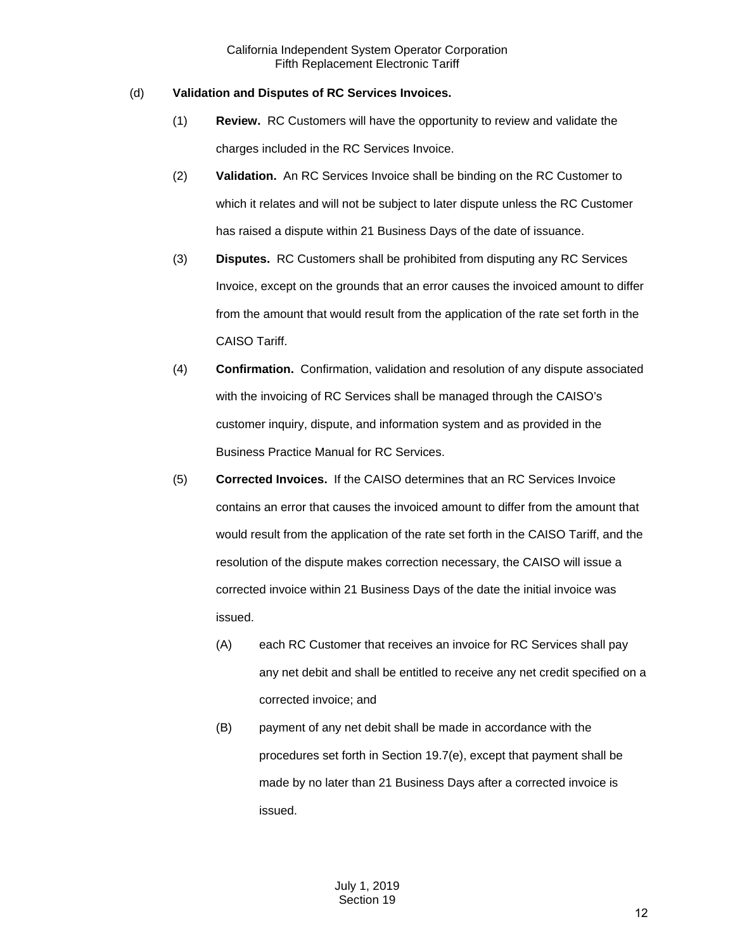## (d) **Validation and Disputes of RC Services Invoices.**

- (1) **Review.** RC Customers will have the opportunity to review and validate the charges included in the RC Services Invoice.
- (2) **Validation.** An RC Services Invoice shall be binding on the RC Customer to which it relates and will not be subject to later dispute unless the RC Customer has raised a dispute within 21 Business Days of the date of issuance.
- (3) **Disputes.** RC Customers shall be prohibited from disputing any RC Services Invoice, except on the grounds that an error causes the invoiced amount to differ from the amount that would result from the application of the rate set forth in the CAISO Tariff.
- (4) **Confirmation.** Confirmation, validation and resolution of any dispute associated with the invoicing of RC Services shall be managed through the CAISO's customer inquiry, dispute, and information system and as provided in the Business Practice Manual for RC Services.
- (5) **Corrected Invoices.** If the CAISO determines that an RC Services Invoice contains an error that causes the invoiced amount to differ from the amount that would result from the application of the rate set forth in the CAISO Tariff, and the resolution of the dispute makes correction necessary, the CAISO will issue a corrected invoice within 21 Business Days of the date the initial invoice was issued.
	- (A) each RC Customer that receives an invoice for RC Services shall pay any net debit and shall be entitled to receive any net credit specified on a corrected invoice; and
	- (B) payment of any net debit shall be made in accordance with the procedures set forth in Section 19.7(e), except that payment shall be made by no later than 21 Business Days after a corrected invoice is issued.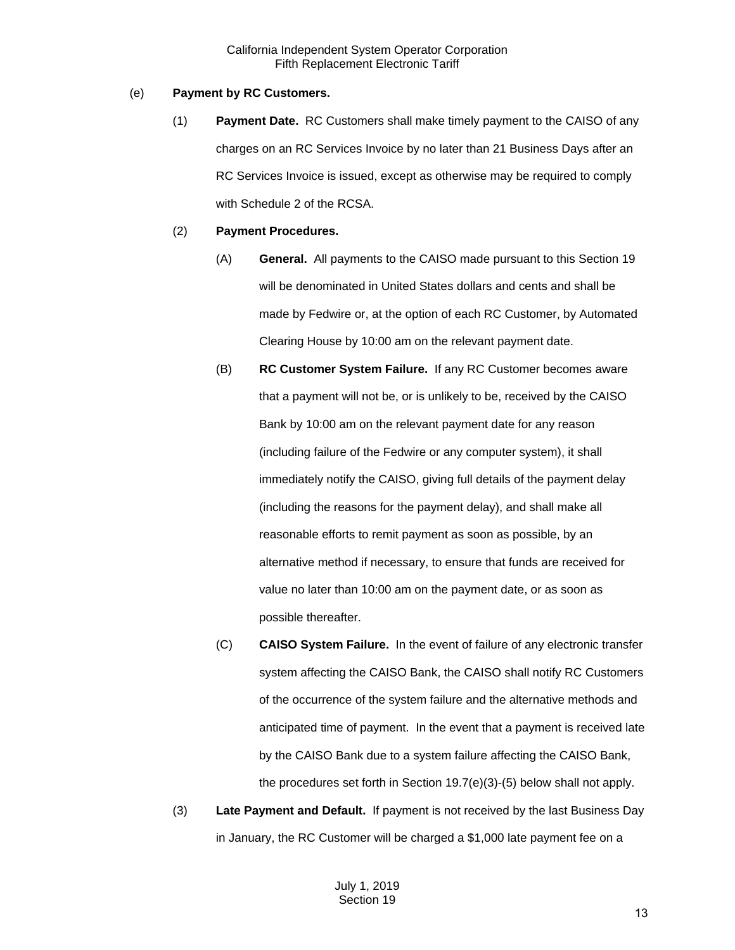#### (e) **Payment by RC Customers.**

(1) **Payment Date.** RC Customers shall make timely payment to the CAISO of any charges on an RC Services Invoice by no later than 21 Business Days after an RC Services Invoice is issued, except as otherwise may be required to comply with Schedule 2 of the RCSA.

#### (2) **Payment Procedures.**

- (A) **General.** All payments to the CAISO made pursuant to this Section 19 will be denominated in United States dollars and cents and shall be made by Fedwire or, at the option of each RC Customer, by Automated Clearing House by 10:00 am on the relevant payment date.
- (B) **RC Customer System Failure.** If any RC Customer becomes aware that a payment will not be, or is unlikely to be, received by the CAISO Bank by 10:00 am on the relevant payment date for any reason (including failure of the Fedwire or any computer system), it shall immediately notify the CAISO, giving full details of the payment delay (including the reasons for the payment delay), and shall make all reasonable efforts to remit payment as soon as possible, by an alternative method if necessary, to ensure that funds are received for value no later than 10:00 am on the payment date, or as soon as possible thereafter.
- (C) **CAISO System Failure.** In the event of failure of any electronic transfer system affecting the CAISO Bank, the CAISO shall notify RC Customers of the occurrence of the system failure and the alternative methods and anticipated time of payment. In the event that a payment is received late by the CAISO Bank due to a system failure affecting the CAISO Bank, the procedures set forth in Section 19.7(e)(3)-(5) below shall not apply.
- (3) **Late Payment and Default.** If payment is not received by the last Business Day in January, the RC Customer will be charged a \$1,000 late payment fee on a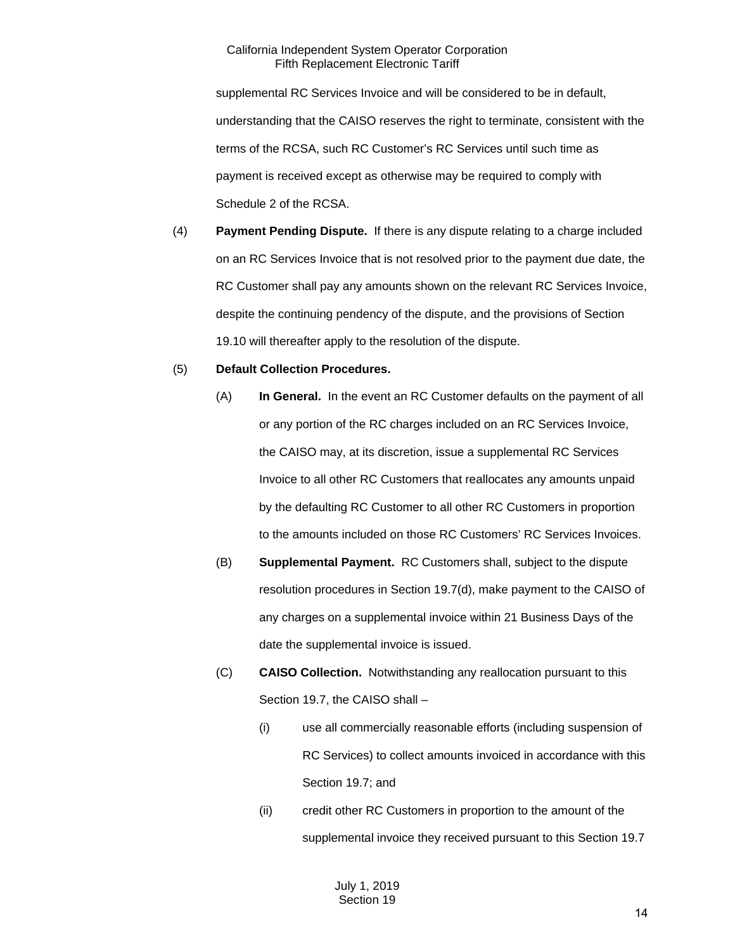supplemental RC Services Invoice and will be considered to be in default, understanding that the CAISO reserves the right to terminate, consistent with the terms of the RCSA, such RC Customer's RC Services until such time as payment is received except as otherwise may be required to comply with Schedule 2 of the RCSA.

(4) **Payment Pending Dispute.** If there is any dispute relating to a charge included on an RC Services Invoice that is not resolved prior to the payment due date, the RC Customer shall pay any amounts shown on the relevant RC Services Invoice, despite the continuing pendency of the dispute, and the provisions of Section 19.10 will thereafter apply to the resolution of the dispute.

#### (5) **Default Collection Procedures.**

- (A) **In General.** In the event an RC Customer defaults on the payment of all or any portion of the RC charges included on an RC Services Invoice, the CAISO may, at its discretion, issue a supplemental RC Services Invoice to all other RC Customers that reallocates any amounts unpaid by the defaulting RC Customer to all other RC Customers in proportion to the amounts included on those RC Customers' RC Services Invoices.
- (B) **Supplemental Payment.** RC Customers shall, subject to the dispute resolution procedures in Section 19.7(d), make payment to the CAISO of any charges on a supplemental invoice within 21 Business Days of the date the supplemental invoice is issued.
- (C) **CAISO Collection.** Notwithstanding any reallocation pursuant to this Section 19.7, the CAISO shall –
	- (i) use all commercially reasonable efforts (including suspension of RC Services) to collect amounts invoiced in accordance with this Section 19.7; and
	- (ii) credit other RC Customers in proportion to the amount of the supplemental invoice they received pursuant to this Section 19.7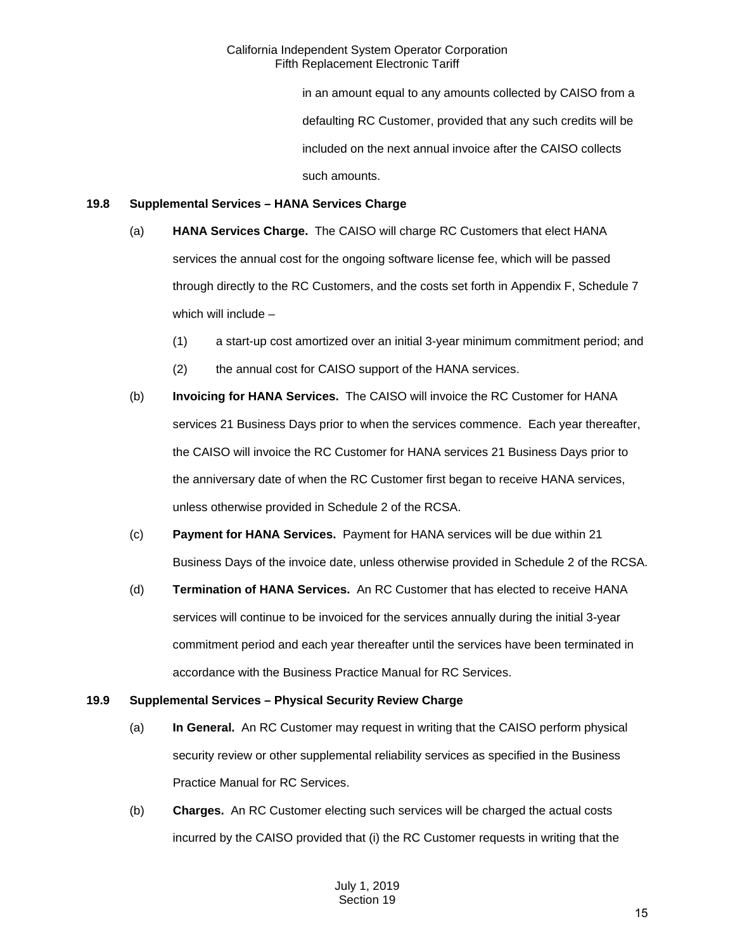in an amount equal to any amounts collected by CAISO from a defaulting RC Customer, provided that any such credits will be included on the next annual invoice after the CAISO collects such amounts.

#### <span id="page-14-0"></span>**19.8 Supplemental Services – HANA Services Charge**

- (a) **HANA Services Charge.** The CAISO will charge RC Customers that elect HANA services the annual cost for the ongoing software license fee, which will be passed through directly to the RC Customers, and the costs set forth in Appendix F, Schedule 7 which will include –
	- (1) a start-up cost amortized over an initial 3-year minimum commitment period; and
	- (2) the annual cost for CAISO support of the HANA services.
- (b) **Invoicing for HANA Services.** The CAISO will invoice the RC Customer for HANA services 21 Business Days prior to when the services commence. Each year thereafter, the CAISO will invoice the RC Customer for HANA services 21 Business Days prior to the anniversary date of when the RC Customer first began to receive HANA services, unless otherwise provided in Schedule 2 of the RCSA.
- (c) **Payment for HANA Services.** Payment for HANA services will be due within 21 Business Days of the invoice date, unless otherwise provided in Schedule 2 of the RCSA.
- (d) **Termination of HANA Services.** An RC Customer that has elected to receive HANA services will continue to be invoiced for the services annually during the initial 3-year commitment period and each year thereafter until the services have been terminated in accordance with the Business Practice Manual for RC Services.

## <span id="page-14-1"></span>**19.9 Supplemental Services – Physical Security Review Charge**

- (a) **In General.** An RC Customer may request in writing that the CAISO perform physical security review or other supplemental reliability services as specified in the Business Practice Manual for RC Services.
- (b) **Charges.** An RC Customer electing such services will be charged the actual costs incurred by the CAISO provided that (i) the RC Customer requests in writing that the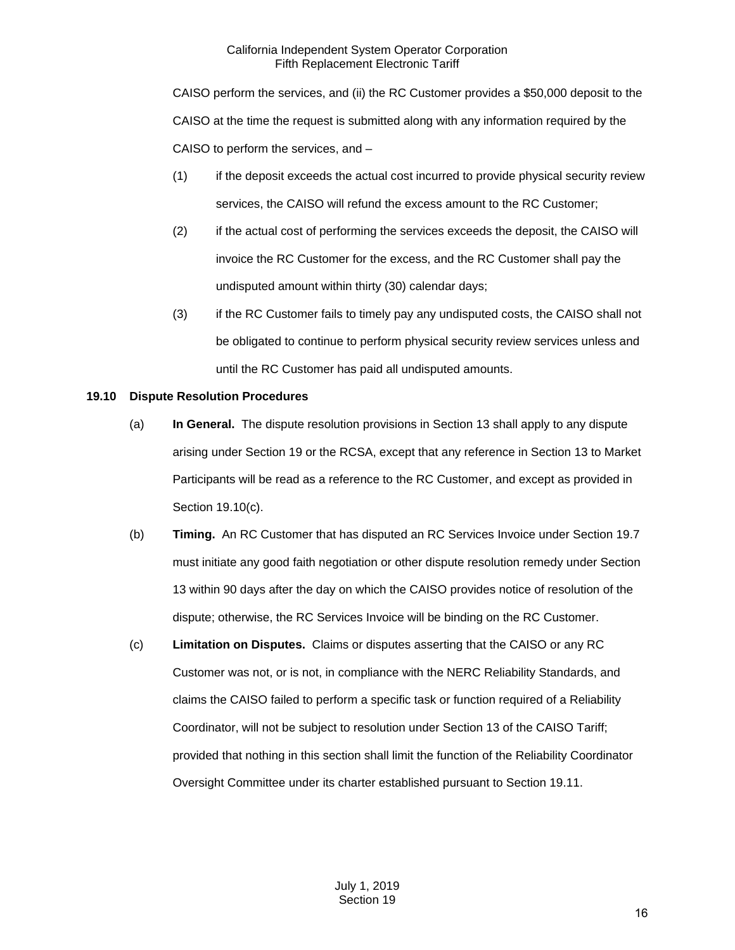CAISO perform the services, and (ii) the RC Customer provides a \$50,000 deposit to the CAISO at the time the request is submitted along with any information required by the CAISO to perform the services, and –

- (1) if the deposit exceeds the actual cost incurred to provide physical security review services, the CAISO will refund the excess amount to the RC Customer;
- (2) if the actual cost of performing the services exceeds the deposit, the CAISO will invoice the RC Customer for the excess, and the RC Customer shall pay the undisputed amount within thirty (30) calendar days;
- (3) if the RC Customer fails to timely pay any undisputed costs, the CAISO shall not be obligated to continue to perform physical security review services unless and until the RC Customer has paid all undisputed amounts.

## <span id="page-15-0"></span>**19.10 Dispute Resolution Procedures**

- (a) **In General.** The dispute resolution provisions in Section 13 shall apply to any dispute arising under Section 19 or the RCSA, except that any reference in Section 13 to Market Participants will be read as a reference to the RC Customer, and except as provided in Section 19.10(c).
- (b) **Timing.** An RC Customer that has disputed an RC Services Invoice under Section 19.7 must initiate any good faith negotiation or other dispute resolution remedy under Section 13 within 90 days after the day on which the CAISO provides notice of resolution of the dispute; otherwise, the RC Services Invoice will be binding on the RC Customer.
- (c) **Limitation on Disputes.** Claims or disputes asserting that the CAISO or any RC Customer was not, or is not, in compliance with the NERC Reliability Standards, and claims the CAISO failed to perform a specific task or function required of a Reliability Coordinator, will not be subject to resolution under Section 13 of the CAISO Tariff; provided that nothing in this section shall limit the function of the Reliability Coordinator Oversight Committee under its charter established pursuant to Section 19.11.